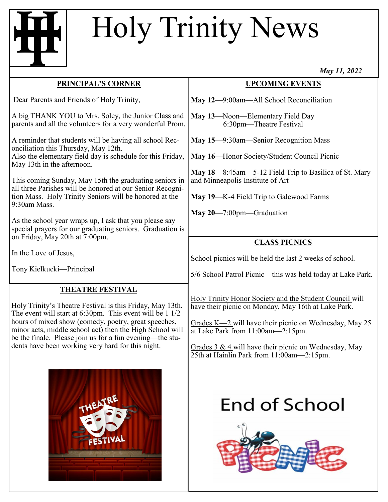## Holy Trinity News

|                                                                                                                                                                              | 111WY 114 2022                                                                                                 |
|------------------------------------------------------------------------------------------------------------------------------------------------------------------------------|----------------------------------------------------------------------------------------------------------------|
| <b>PRINCIPAL'S CORNER</b>                                                                                                                                                    | <b>UPCOMING EVENTS</b>                                                                                         |
| Dear Parents and Friends of Holy Trinity,                                                                                                                                    | May 12-9:00am-All School Reconciliation                                                                        |
| A big THANK YOU to Mrs. Soley, the Junior Class and<br>parents and all the volunteers for a very wonderful Prom.                                                             | May 13-Noon-Elementary Field Day<br>6:30pm—Theatre Festival                                                    |
| A reminder that students will be having all school Rec-<br>onciliation this Thursday, May 12th.                                                                              | May 15—9:30am—Senior Recognition Mass                                                                          |
| Also the elementary field day is schedule for this Friday,<br>May 13th in the afternoon.                                                                                     | May 16-Honor Society/Student Council Picnic                                                                    |
| This coming Sunday, May 15th the graduating seniors in                                                                                                                       | May 18—8:45am—5-12 Field Trip to Basilica of St. Mary<br>and Minneapolis Institute of Art                      |
| all three Parishes will be honored at our Senior Recogni-<br>tion Mass. Holy Trinity Seniors will be honored at the<br>9:30am Mass.                                          | May 19-K-4 Field Trip to Galewood Farms                                                                        |
| As the school year wraps up, I ask that you please say<br>special prayers for our graduating seniors. Graduation is<br>on Friday, May 20th at 7:00pm.                        | $\text{May } 20 - 7:00 \text{pm}$ -Graduation                                                                  |
|                                                                                                                                                                              | <b>CLASS PICNICS</b>                                                                                           |
| In the Love of Jesus,                                                                                                                                                        | School picnics will be held the last 2 weeks of school.                                                        |
| Tony Kielkucki-Principal                                                                                                                                                     | 5/6 School Patrol Picnic—this was held today at Lake Park.                                                     |
| <b>THEATRE FESTIVAL</b>                                                                                                                                                      |                                                                                                                |
| Holy Trinity's Theatre Festival is this Friday, May 13th.<br>The event will start at $6:30 \text{pm}$ . This event will be 1 $1/2$                                           | Holy Trinity Honor Society and the Student Council will<br>have their picnic on Monday, May 16th at Lake Park. |
| hours of mixed show (comedy, poetry, great speeches,<br>minor acts, middle school act) then the High School will<br>be the finale. Please join us for a fun evening—the stu- | Grades $K=2$ will have their picnic on Wednesday, May 25<br>at Lake Park from 11:00am—2:15pm.                  |
| dents have been working very hard for this night.                                                                                                                            | Grades 3 & 4 will have their picnic on Wednesday, May                                                          |



## **End of School**

25th at Hainlin Park from 11:00am—2:15pm.



*May 11, 2022*